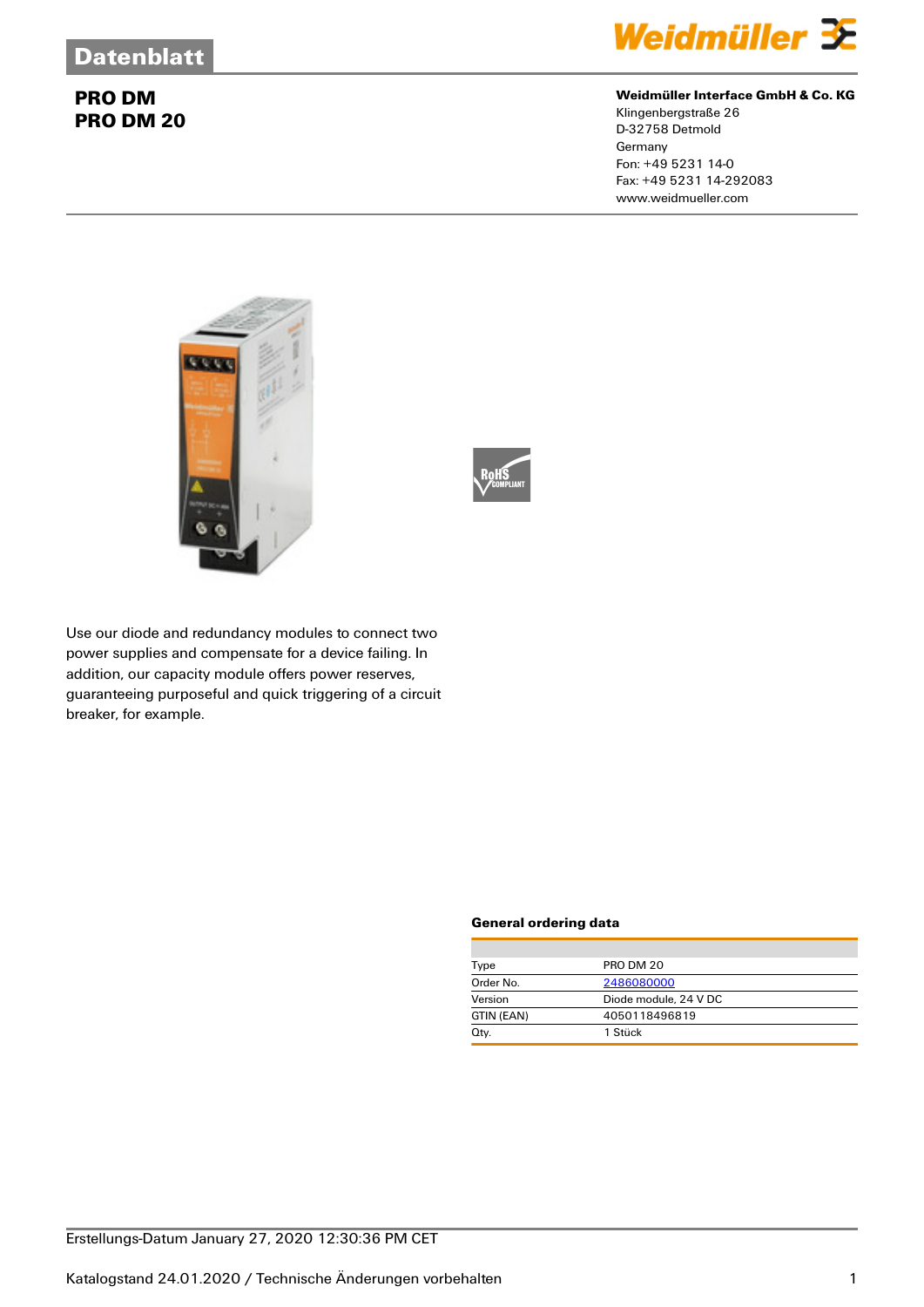

### **Weidmüller Interface GmbH & Co. KG**

Klingenbergstraße 26 D-32758 Detmold **Germany** Fon: +49 5231 14-0 Fax: +49 5231 14-292083 www.weidmueller.com





Use our diode and redundancy modules to connect two power supplies and compensate for a device failing. In addition, our capacity module offers power reserves, guaranteeing purposeful and quick triggering of a circuit breaker, for example.

#### **General ordering data**

| Type       | PRO DM 20             |
|------------|-----------------------|
| Order No.  | 2486080000            |
| Version    | Diode module, 24 V DC |
| GTIN (EAN) | 4050118496819         |
| Qty.       | 1 Stück               |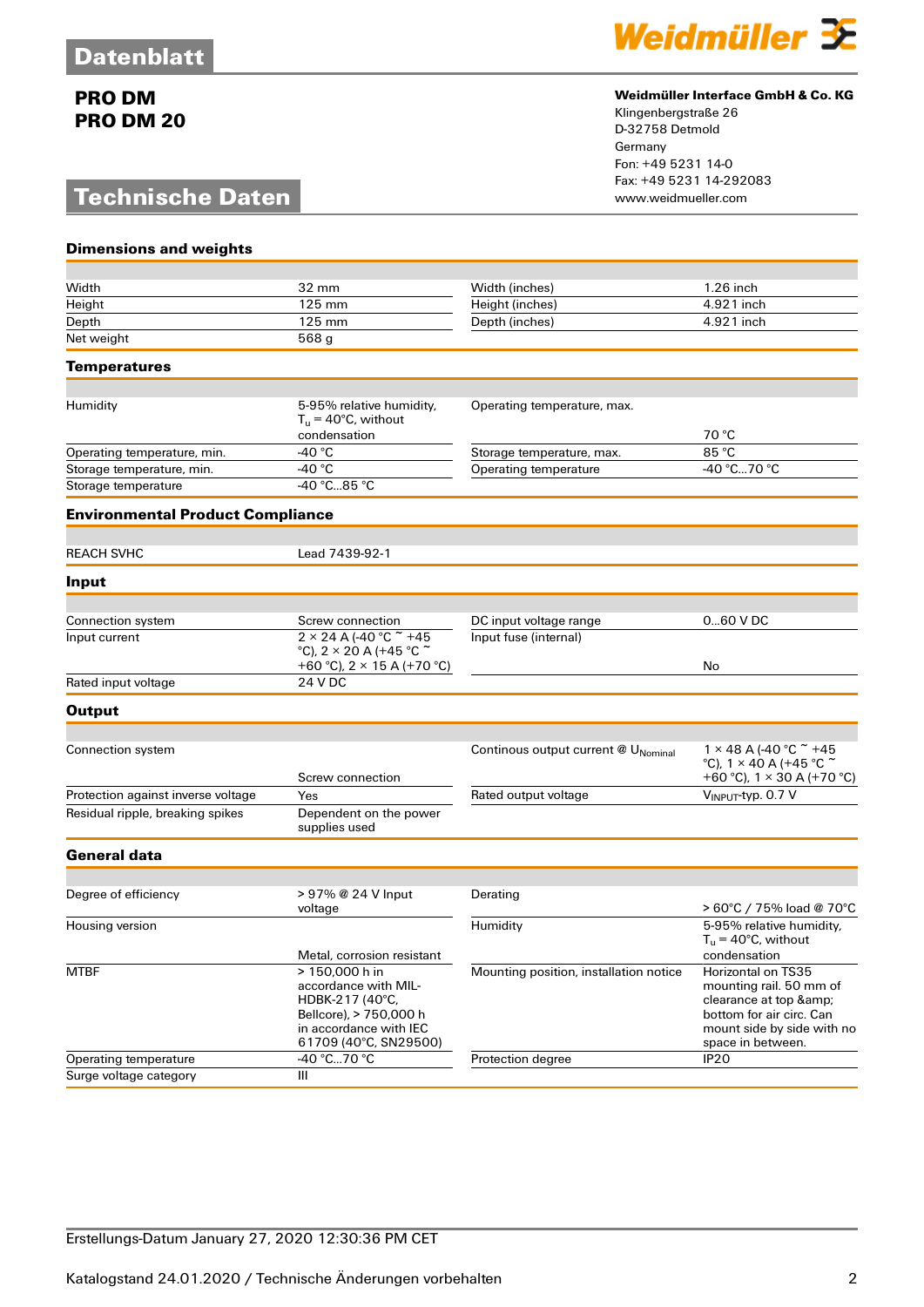## **Technische Daten**



### **Weidmüller Interface GmbH & Co. KG**

Klingenbergstraße 26 D-32758 Detmold Germany Fon: +49 5231 14-0 Fax: +49 5231 14-292083

| <b>Dimensions and weights</b>           |                                                                                                                                        |                                        |                                                                                                                                                           |
|-----------------------------------------|----------------------------------------------------------------------------------------------------------------------------------------|----------------------------------------|-----------------------------------------------------------------------------------------------------------------------------------------------------------|
| Width                                   | 32 mm                                                                                                                                  | Width (inches)                         | $1.26$ inch                                                                                                                                               |
| Height                                  | 125 mm                                                                                                                                 | Height (inches)                        | 4.921 inch                                                                                                                                                |
| Depth                                   | 125 mm                                                                                                                                 | Depth (inches)                         | 4.921 inch                                                                                                                                                |
| Net weight                              | $\overline{568}$ g                                                                                                                     |                                        |                                                                                                                                                           |
| <b>Temperatures</b>                     |                                                                                                                                        |                                        |                                                                                                                                                           |
|                                         |                                                                                                                                        |                                        |                                                                                                                                                           |
| Humidity                                | 5-95% relative humidity,<br>$T_u = 40$ °C, without<br>condensation                                                                     | Operating temperature, max.            | 70 °C                                                                                                                                                     |
| Operating temperature, min.             | -40 $^{\circ}$ C                                                                                                                       | Storage temperature, max.              | 85 °C                                                                                                                                                     |
| Storage temperature, min.               | -40 $^{\circ}$ C                                                                                                                       | Operating temperature                  | -40 °C70 °C                                                                                                                                               |
| Storage temperature                     | -40 °C85 °C                                                                                                                            |                                        |                                                                                                                                                           |
| <b>Environmental Product Compliance</b> |                                                                                                                                        |                                        |                                                                                                                                                           |
| <b>REACH SVHC</b>                       | Lead 7439-92-1                                                                                                                         |                                        |                                                                                                                                                           |
| Input                                   |                                                                                                                                        |                                        |                                                                                                                                                           |
|                                         |                                                                                                                                        |                                        |                                                                                                                                                           |
| Connection system                       | Screw connection                                                                                                                       | DC input voltage range                 | 060 V DC                                                                                                                                                  |
| Input current                           | $2 \times 24$ A (-40 °C $*$ +45<br>°C), 2 $\times$ 20 A (+45 °C $\tilde{c}$<br>+60 °C), $2 \times 15$ A (+70 °C)                       | Input fuse (internal)                  | No                                                                                                                                                        |
| Rated input voltage                     | 24 V DC                                                                                                                                |                                        |                                                                                                                                                           |
| <b>Output</b>                           |                                                                                                                                        |                                        |                                                                                                                                                           |
|                                         |                                                                                                                                        |                                        |                                                                                                                                                           |
| Connection system                       | Screw connection                                                                                                                       | Continous output current @ UNominal    | $1 \times 48$ A (-40 °C $\tilde{ }$ +45<br>°C), $1 \times 40$ A (+45 °C $\tilde{ }$<br>+60 °C), $1 \times 30$ A (+70 °C)                                  |
| Protection against inverse voltage      | Yes                                                                                                                                    | Rated output voltage                   | VINPUT-typ. 0.7 V                                                                                                                                         |
| Residual ripple, breaking spikes        | Dependent on the power<br>supplies used                                                                                                |                                        |                                                                                                                                                           |
| <b>General data</b>                     |                                                                                                                                        |                                        |                                                                                                                                                           |
|                                         |                                                                                                                                        |                                        |                                                                                                                                                           |
| Degree of efficiency                    | > 97% @ 24 V Input<br>voltage                                                                                                          | Derating                               | > 60°C / 75% load @ 70°C                                                                                                                                  |
| Housing version                         |                                                                                                                                        | Humidity                               | 5-95% relative humidity,<br>$T_{\rm u}$ = 40°C, without                                                                                                   |
|                                         | Metal, corrosion resistant                                                                                                             |                                        | condensation                                                                                                                                              |
| <b>MTBF</b>                             | > 150,000 h in<br>accordance with MIL-<br>HDBK-217 (40°C,<br>Bellcore), > 750,000 h<br>in accordance with IEC<br>61709 (40°C, SN29500) | Mounting position, installation notice | <b>Horizontal on TS35</b><br>mounting rail. 50 mm of<br>clearance at top &<br>bottom for air circ. Can<br>mount side by side with no<br>space in between. |
| Operating temperature                   | -40 °C70 °C                                                                                                                            | Protection degree                      | IP <sub>20</sub>                                                                                                                                          |
| Surge voltage category                  | Ш                                                                                                                                      |                                        |                                                                                                                                                           |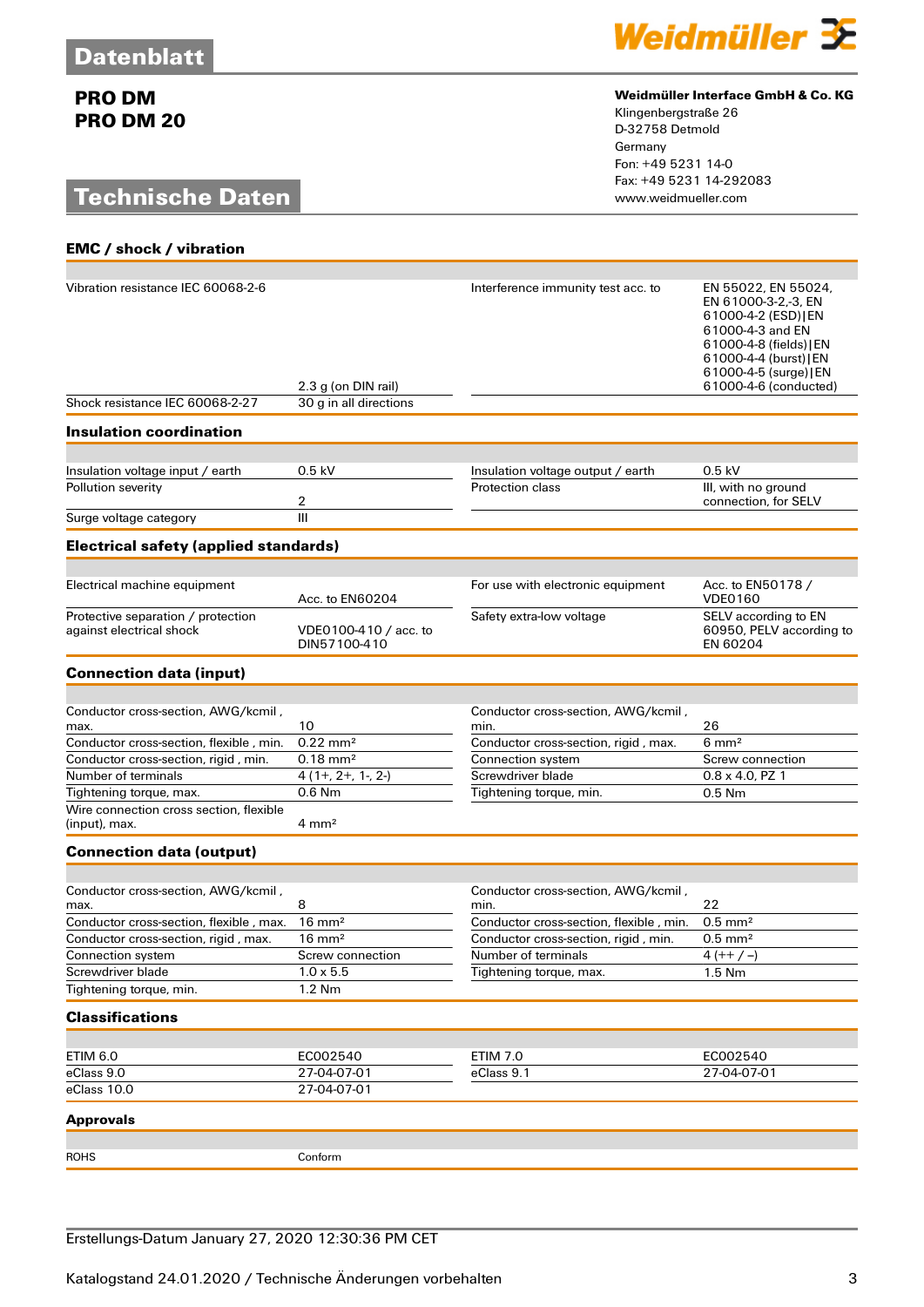## **Technische Daten**

**EMC / shock / vibration**



#### **Weidmüller Interface GmbH & Co. KG**

Klingenbergstraße 26 D-32758 Detmold Germany Fon: +49 5231 14-0 Fax: +49 5231 14-292083

| Vibration resistance IEC 60068-2-6<br>Shock resistance IEC 60068-2-27 | 2.3 g (on DIN rail)<br>30 g in all directions | Interference immunity test acc. to                           | EN 55022, EN 55024,<br>EN 61000-3-2,-3, EN<br>61000-4-2 (ESD) [EN<br>61000-4-3 and EN<br>61000-4-8 (fields)   EN<br>61000-4-4 (burst) [EN<br>61000-4-5 (surge) [EN<br>61000-4-6 (conducted) |
|-----------------------------------------------------------------------|-----------------------------------------------|--------------------------------------------------------------|---------------------------------------------------------------------------------------------------------------------------------------------------------------------------------------------|
|                                                                       |                                               |                                                              |                                                                                                                                                                                             |
| <b>Insulation coordination</b>                                        |                                               |                                                              |                                                                                                                                                                                             |
|                                                                       | $0.5$ kV                                      |                                                              | $0.5$ kV                                                                                                                                                                                    |
| Insulation voltage input / earth<br>Pollution severity                |                                               | Insulation voltage output / earth<br><b>Protection class</b> | III, with no ground                                                                                                                                                                         |
|                                                                       | 2                                             |                                                              | connection, for SELV                                                                                                                                                                        |
| Surge voltage category                                                | III                                           |                                                              |                                                                                                                                                                                             |
| <b>Electrical safety (applied standards)</b>                          |                                               |                                                              |                                                                                                                                                                                             |
|                                                                       |                                               |                                                              |                                                                                                                                                                                             |
| Electrical machine equipment                                          | Acc. to EN60204                               | For use with electronic equipment                            | Acc. to EN50178 /<br><b>VDE0160</b>                                                                                                                                                         |
| Protective separation / protection<br>against electrical shock        | VDE0100-410 / acc. to<br>DIN57100-410         | Safety extra-low voltage                                     | SELV according to EN<br>60950, PELV according to<br>EN 60204                                                                                                                                |
| <b>Connection data (input)</b>                                        |                                               |                                                              |                                                                                                                                                                                             |
|                                                                       |                                               |                                                              |                                                                                                                                                                                             |
| Conductor cross-section, AWG/kcmil,                                   | 10                                            | Conductor cross-section, AWG/kcmil,                          | 26                                                                                                                                                                                          |
| max.<br>Conductor cross-section, flexible, min.                       | $0.22 \text{ mm}^2$                           | min.<br>Conductor cross-section, rigid, max.                 | $6 \text{ mm}^2$                                                                                                                                                                            |
| Conductor cross-section, rigid, min.                                  | $0.18 \, \text{mm}^2$                         | Connection system                                            | Screw connection                                                                                                                                                                            |
| Number of terminals                                                   | $4(1+, 2+, 1-, 2-)$                           | Screwdriver blade                                            | $0.8 \times 4.0$ , PZ 1                                                                                                                                                                     |
| Tightening torque, max.                                               | $0.6$ Nm                                      | Tightening torque, min.                                      | $0.5$ Nm                                                                                                                                                                                    |
| Wire connection cross section, flexible<br>(input), max.              | $4 \text{ mm}^2$                              |                                                              |                                                                                                                                                                                             |
| <b>Connection data (output)</b>                                       |                                               |                                                              |                                                                                                                                                                                             |
|                                                                       |                                               |                                                              |                                                                                                                                                                                             |
| Conductor cross-section, AWG/kcmil,<br>max.                           | 8                                             | Conductor cross-section, AWG/kcmil,<br>min.                  | 22                                                                                                                                                                                          |
| Conductor cross-section, flexible, max.                               | $16 \text{ mm}^2$                             | Conductor cross-section, flexible, min.                      | $0.5$ mm <sup>2</sup>                                                                                                                                                                       |
| Conductor cross-section, rigid, max.                                  | $16 \text{ mm}^2$                             | Conductor cross-section, rigid, min.                         | $0.5$ mm <sup>2</sup>                                                                                                                                                                       |
| Connection system                                                     | Screw connection                              | Number of terminals                                          | $4 (++/-)$                                                                                                                                                                                  |
| Screwdriver blade<br>Tightening torque, min.                          | $1.0 \times 5.5$<br>1.2 Nm                    | Tightening torque, max.                                      | $1.5$ Nm                                                                                                                                                                                    |
|                                                                       |                                               |                                                              |                                                                                                                                                                                             |
| <b>Classifications</b>                                                |                                               |                                                              |                                                                                                                                                                                             |
| <b>ETIM 6.0</b>                                                       | EC002540                                      | <b>ETIM 7.0</b>                                              | EC002540                                                                                                                                                                                    |
| eClass 9.0                                                            | 27-04-07-01                                   | eClass 9.1                                                   | 27-04-07-01                                                                                                                                                                                 |
| eClass 10.0                                                           | 27-04-07-01                                   |                                                              |                                                                                                                                                                                             |
| <b>Approvals</b>                                                      |                                               |                                                              |                                                                                                                                                                                             |
|                                                                       |                                               |                                                              |                                                                                                                                                                                             |
| <b>ROHS</b>                                                           | Conform                                       |                                                              |                                                                                                                                                                                             |